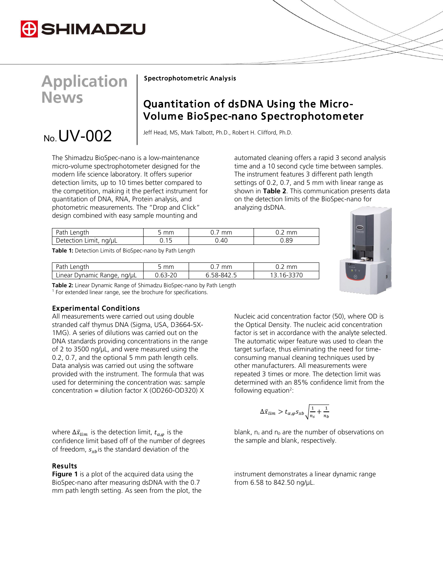

# **Application News**

 $_{N_0}$  UV-002

Spectrophotometric Analysis

# Quantitation of dsDNA Using the Micro-Volume BioSpec-nano Spectrophotometer

Jeff Head, MS, Mark Talbott, Ph.D., Robert H. Clifford, Ph.D.

The Shimadzu BioSpec-nano is a low-maintenance micro-volume spectrophotometer designed for the modern life science laboratory. It offers superior detection limits, up to 10 times better compared to the competition, making it the perfect instrument for quantitation of DNA, RNA, Protein analysis, and photometric measurements. The "Drop and Click" design combined with easy sample mounting and

automated cleaning offers a rapid 3 second analysis time and a 10 second cycle time between samples. The instrument features 3 different path length settings of 0.2, 0.7, and 5 mm with linear range as shown in **Table 2**. This communication presents data on the detection limits of the BioSpec-nano for analyzing dsDNA.

| Path Length<br>mm      | mm   | mm   |
|------------------------|------|------|
| Detection Limit, ng/µL | 0.40 | 0.89 |

**Table 1:** Detection Limits of BioSpec-nano by Path Length

| Path<br>Length                 | mm | mm | mm |
|--------------------------------|----|----|----|
| Linear<br>Dynamic Range, ng/uL |    |    | n- |



**Table 2:** Linear Dynamic Range of Shimadzu BioSpec-nano by Path Length <sup>1</sup> For extended linear range, see the brochure for specifications.

### Experimental Conditions

All measurements were carried out using double stranded calf thymus DNA (Sigma, USA, D3664-5X-1MG). A series of dilutions was carried out on the DNA standards providing concentrations in the range of 2 to 3500 ng/µL, and were measured using the 0.2, 0.7, and the optional 5 mm path length cells. Data analysis was carried out using the software provided with the instrument. The formula that was used for determining the concentration was: sample concentration = dilution factor X (OD260-OD320) X

where  $\Delta \bar{x}_{\text{lim}}$  is the detection limit,  $t_{\alpha,\varphi}$  is the confidence limit based off of the number of degrees of freedom,  $s_{xb}$  is the standard deviation of the

## Results

**Figure 1** is a plot of the acquired data using the BioSpec-nano after measuring dsDNA with the 0.7 mm path length setting. As seen from the plot, the Nucleic acid concentration factor (50), where OD is the Optical Density. The nucleic acid concentration factor is set in accordance with the analyte selected. The automatic wiper feature was used to clean the target surface, thus eliminating the need for timeconsuming manual cleaning techniques used by other manufacturers. All measurements were repeated 3 times or more. The detection limit was determined with an 85% confidence limit from the following equation<sup>2</sup>:

$$
\Delta \bar{x}_{\lim} > t_{\alpha,\varphi} s_{xb} \sqrt{\frac{1}{n_s} + \frac{1}{n_b}}
$$

blank, n*<sup>s</sup>* and n*<sup>b</sup>* are the number of observations on the sample and blank, respectively.

instrument demonstrates a linear dynamic range from 6.58 to 842.50 ng/µL.